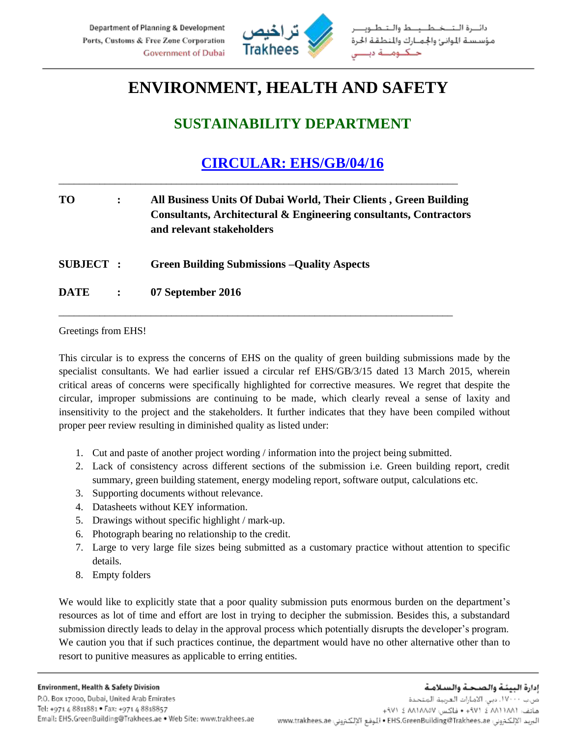

## **ENVIRONMENT, HEALTH AND SAFETY**

## **SUSTAINABILITY DEPARTMENT**

## **CIRCULAR: EHS/GB/04/16**

| <b>TO</b>        |                | All Business Units Of Dubai World, Their Clients, Green Building<br>Consultants, Architectural & Engineering consultants, Contractors<br>and relevant stakeholders |
|------------------|----------------|--------------------------------------------------------------------------------------------------------------------------------------------------------------------|
| <b>SUBJECT :</b> |                | <b>Green Building Submissions – Quality Aspects</b>                                                                                                                |
| <b>DATE</b>      | $\ddot{\cdot}$ | 07 September 2016                                                                                                                                                  |

\_\_\_\_\_\_\_\_\_\_\_\_\_\_\_\_\_\_\_\_\_\_\_\_\_\_\_\_\_\_\_\_\_\_\_\_\_\_\_\_\_\_\_\_\_\_\_\_\_\_\_\_\_\_\_\_\_\_\_\_\_\_\_\_\_\_\_\_\_\_\_\_\_\_\_\_\_\_

Greetings from EHS!

This circular is to express the concerns of EHS on the quality of green building submissions made by the specialist consultants. We had earlier issued a circular ref EHS/GB/3/15 dated 13 March 2015, wherein critical areas of concerns were specifically highlighted for corrective measures. We regret that despite the circular, improper submissions are continuing to be made, which clearly reveal a sense of laxity and insensitivity to the project and the stakeholders. It further indicates that they have been compiled without proper peer review resulting in diminished quality as listed under:

- 1. Cut and paste of another project wording / information into the project being submitted.
- 2. Lack of consistency across different sections of the submission i.e. Green building report, credit summary, green building statement, energy modeling report, software output, calculations etc.
- 3. Supporting documents without relevance.
- 4. Datasheets without KEY information.
- 5. Drawings without specific highlight / mark-up.
- 6. Photograph bearing no relationship to the credit.
- 7. Large to very large file sizes being submitted as a customary practice without attention to specific details.
- 8. Empty folders

We would like to explicitly state that a poor quality submission puts enormous burden on the department's resources as lot of time and effort are lost in trying to decipher the submission. Besides this, a substandard submission directly leads to delay in the approval process which potentially disrupts the developer's program. We caution you that if such practices continue, the department would have no other alternative other than to resort to punitive measures as applicable to erring entities.